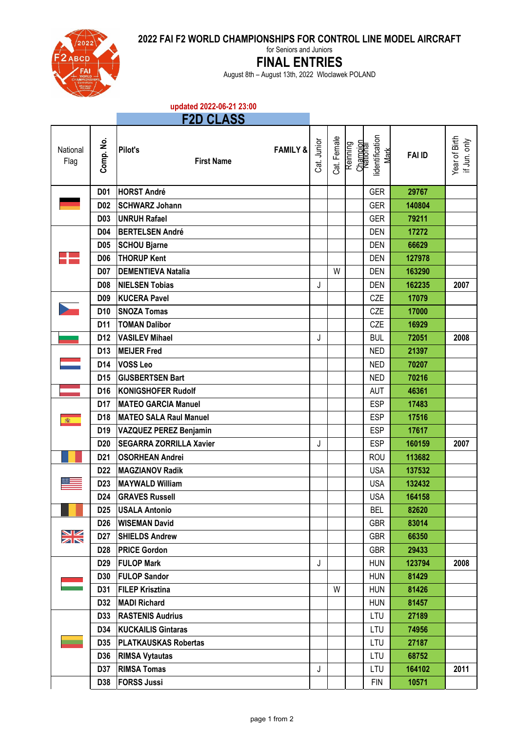**2022 FAI F2 WORLD CHAMPIONSHIPS FOR CONTROL LINE MODEL AIRCRAFT**



for Seniors and Juniors

## **FINAL ENTRIES**

August 8th – August 13th, 2022 Wloclawek POLAND

## **updated 2022-06-21 23:00**

| D<br>$\sim$ | - -<br>- 200<br>- |  |
|-------------|-------------------|--|
|             |                   |  |

| National<br>Flag | Comp. No.       | Pilot's<br><b>FAMILY &amp;</b><br><b>First Name</b> | Cat. Junior | Cat. Female | Reinning<br>Champion | lidentification<br>Mark | <b>FAI ID</b> | Year of Birth<br>if Jun. only |
|------------------|-----------------|-----------------------------------------------------|-------------|-------------|----------------------|-------------------------|---------------|-------------------------------|
|                  | <b>D01</b>      | <b>HORST André</b>                                  |             |             |                      | <b>GER</b>              | 29767         |                               |
|                  | <b>D02</b>      | <b>SCHWARZ Johann</b>                               |             |             |                      | <b>GER</b>              | 140804        |                               |
|                  | <b>D03</b>      | <b>UNRUH Rafael</b>                                 |             |             |                      | <b>GER</b>              | 79211         |                               |
|                  | D04             | <b>BERTELSEN André</b>                              |             |             |                      | <b>DEN</b>              | 17272         |                               |
|                  | <b>D05</b>      | <b>SCHOU Bjarne</b>                                 |             |             |                      | <b>DEN</b>              | 66629         |                               |
|                  | <b>D06</b>      | <b>THORUP Kent</b>                                  |             |             |                      | <b>DEN</b>              | 127978        |                               |
|                  | <b>D07</b>      | <b>DEMENTIEVA Natalia</b>                           |             | W           |                      | <b>DEN</b>              | 163290        |                               |
|                  | <b>D08</b>      | <b>NIELSEN Tobias</b>                               | J           |             |                      | <b>DEN</b>              | 162235        | 2007                          |
|                  | D <sub>09</sub> | <b>KUCERA Pavel</b>                                 |             |             |                      | CZE                     | 17079         |                               |
|                  | D <sub>10</sub> | <b>SNOZA Tomas</b>                                  |             |             |                      | CZE                     | 17000         |                               |
|                  | D11             | <b>TOMAN Dalibor</b>                                |             |             |                      | CZE                     | 16929         |                               |
|                  | D <sub>12</sub> | <b>VASILEV Mihael</b>                               | J           |             |                      | <b>BUL</b>              | 72051         | 2008                          |
|                  | D <sub>13</sub> | <b>MEIJER Fred</b>                                  |             |             |                      | <b>NED</b>              | 21397         |                               |
|                  | D14             | <b>VOSS Leo</b>                                     |             |             |                      | <b>NED</b>              | 70207         |                               |
|                  | D <sub>15</sub> | <b>GIJSBERTSEN Bart</b>                             |             |             |                      | <b>NED</b>              | 70216         |                               |
|                  | D <sub>16</sub> | <b>KONIGSHOFER Rudolf</b>                           |             |             |                      | <b>AUT</b>              | 46361         |                               |
|                  | D17             | <b>MATEO GARCIA Manuel</b>                          |             |             |                      | <b>ESP</b>              | 17483         |                               |
| 瀶                | D <sub>18</sub> | <b>MATEO SALA Raul Manuel</b>                       |             |             |                      | <b>ESP</b>              | 17516         |                               |
|                  | D <sub>19</sub> | VAZQUEZ PEREZ Benjamin                              |             |             |                      | <b>ESP</b>              | 17617         |                               |
|                  | D <sub>20</sub> | <b>SEGARRA ZORRILLA Xavier</b>                      | J           |             |                      | <b>ESP</b>              | 160159        | 2007                          |
|                  | D <sub>21</sub> | <b>OSORHEAN Andrei</b>                              |             |             |                      | <b>ROU</b>              | 113682        |                               |
|                  | D <sub>22</sub> | <b>MAGZIANOV Radik</b>                              |             |             |                      | <b>USA</b>              | 137532        |                               |
|                  | D <sub>23</sub> | <b>MAYWALD William</b>                              |             |             |                      | <b>USA</b>              | 132432        |                               |
|                  | D <sub>24</sub> | <b>GRAVES Russell</b>                               |             |             |                      | <b>USA</b>              | 164158        |                               |
|                  | D <sub>25</sub> | <b>USALA Antonio</b>                                |             |             |                      | <b>BEL</b>              | 82620         |                               |
|                  | D <sub>26</sub> | <b>WISEMAN David</b>                                |             |             |                      | <b>GBR</b>              | 83014         |                               |
| $\frac{N}{N}$    | D <sub>27</sub> | <b>SHIELDS Andrew</b>                               |             |             |                      | <b>GBR</b>              | 66350         |                               |
|                  | D <sub>28</sub> | <b>PRICE Gordon</b>                                 |             |             |                      | <b>GBR</b>              | 29433         |                               |
|                  | D <sub>29</sub> | <b>FULOP Mark</b>                                   | J           |             |                      | <b>HUN</b>              | 123794        | 2008                          |
|                  | <b>D30</b>      | <b>FULOP Sandor</b>                                 |             |             |                      | <b>HUN</b>              | 81429         |                               |
|                  | D31             | <b>FILEP Krisztina</b>                              |             | W           |                      | <b>HUN</b>              | 81426         |                               |
|                  | D32             | <b>MADI Richard</b>                                 |             |             |                      | <b>HUN</b>              | 81457         |                               |
| <b>Service</b>   | D33             | <b>RASTENIS Audrius</b>                             |             |             |                      | LTU                     | 27189         |                               |
|                  | D34             | <b>KUCKAILIS Gintaras</b>                           |             |             |                      | <b>LTU</b>              | 74956         |                               |
|                  | D35             | <b>PLATKAUSKAS Robertas</b>                         |             |             |                      | LTU                     | 27187         |                               |
|                  | D36             | <b>RIMSA Vytautas</b>                               |             |             |                      | <b>LTU</b>              | 68752         |                               |
|                  | D37             | <b>RIMSA Tomas</b>                                  | J           |             |                      | LTU                     | 164102        | 2011                          |
|                  | D38             | <b>FORSS Jussi</b>                                  |             |             |                      | <b>FIN</b>              | 10571         |                               |